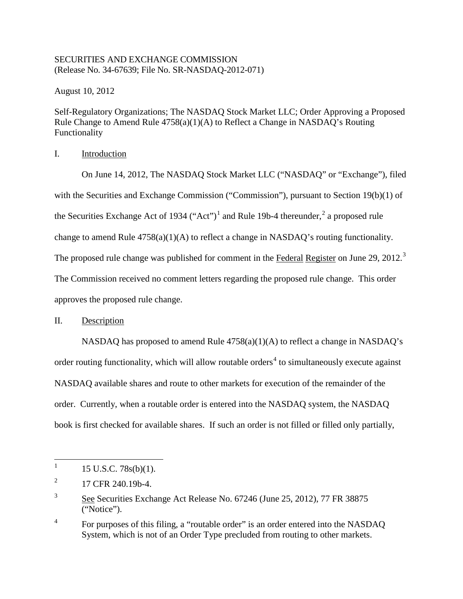## SECURITIES AND EXCHANGE COMMISSION (Release No. 34-67639; File No. SR-NASDAQ-2012-071)

August 10, 2012

Self-Regulatory Organizations; The NASDAQ Stock Market LLC; Order Approving a Proposed Rule Change to Amend Rule 4758(a)(1)(A) to Reflect a Change in NASDAQ's Routing Functionality

I. Introduction

On June 14, 2012, The NASDAQ Stock Market LLC ("NASDAQ" or "Exchange"), filed with the Securities and Exchange Commission ("Commission"), pursuant to Section 19(b)(1) of the Securities Exchange Act of [1](#page-0-0)934 ("Act")<sup>1</sup> and Rule 19b-4 thereunder,  $2^2$  $2^2$  a proposed rule change to amend Rule 4758(a)(1)(A) to reflect a change in NASDAQ's routing functionality. The proposed rule change was published for comment in the Federal Register on June 29, 2012.<sup>[3](#page-0-2)</sup> The Commission received no comment letters regarding the proposed rule change. This order approves the proposed rule change.

## II. Description

NASDAQ has proposed to amend Rule  $4758(a)(1)(A)$  to reflect a change in NASDAQ's order routing functionality, which will allow routable orders<sup>[4](#page-0-3)</sup> to simultaneously execute against NASDAQ available shares and route to other markets for execution of the remainder of the order. Currently, when a routable order is entered into the NASDAQ system, the NASDAQ book is first checked for available shares. If such an order is not filled or filled only partially,

<span id="page-0-0"></span> $1$  15 U.S.C. 78s(b)(1).

<span id="page-0-1"></span> $^{2}$  17 CFR 240.19b-4.

<span id="page-0-2"></span><sup>&</sup>lt;sup>3</sup> See Securities Exchange Act Release No. 67246 (June 25, 2012), 77 FR 38875 ("Notice").

<span id="page-0-3"></span><sup>&</sup>lt;sup>4</sup> For purposes of this filing, a "routable order" is an order entered into the NASDAQ System, which is not of an Order Type precluded from routing to other markets.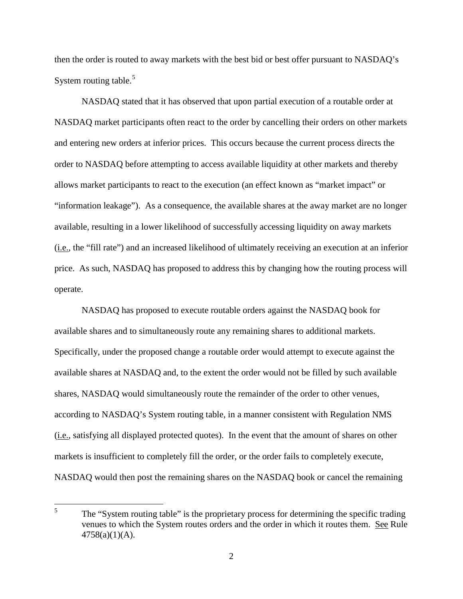then the order is routed to away markets with the best bid or best offer pursuant to NASDAQ's System routing table.<sup>[5](#page-1-0)</sup>

NASDAQ stated that it has observed that upon partial execution of a routable order at NASDAQ market participants often react to the order by cancelling their orders on other markets and entering new orders at inferior prices. This occurs because the current process directs the order to NASDAQ before attempting to access available liquidity at other markets and thereby allows market participants to react to the execution (an effect known as "market impact" or "information leakage"). As a consequence, the available shares at the away market are no longer available, resulting in a lower likelihood of successfully accessing liquidity on away markets (i.e., the "fill rate") and an increased likelihood of ultimately receiving an execution at an inferior price. As such, NASDAQ has proposed to address this by changing how the routing process will operate.

NASDAQ has proposed to execute routable orders against the NASDAQ book for available shares and to simultaneously route any remaining shares to additional markets. Specifically, under the proposed change a routable order would attempt to execute against the available shares at NASDAQ and, to the extent the order would not be filled by such available shares, NASDAQ would simultaneously route the remainder of the order to other venues, according to NASDAQ's System routing table, in a manner consistent with Regulation NMS (i.e., satisfying all displayed protected quotes). In the event that the amount of shares on other markets is insufficient to completely fill the order, or the order fails to completely execute, NASDAQ would then post the remaining shares on the NASDAQ book or cancel the remaining

<span id="page-1-0"></span><sup>&</sup>lt;sup>5</sup> The "System routing table" is the proprietary process for determining the specific trading venues to which the System routes orders and the order in which it routes them. See Rule  $4758(a)(1)(A)$ .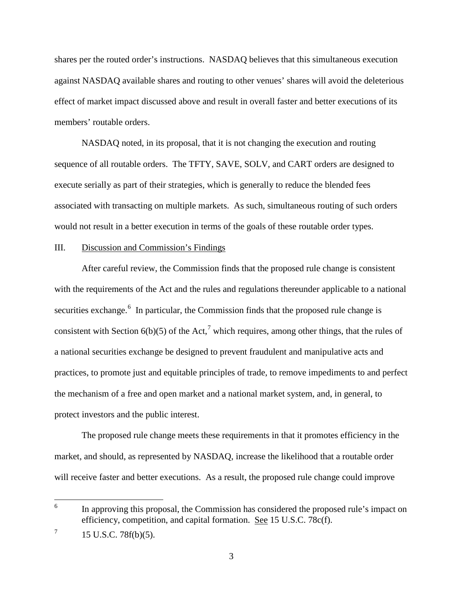shares per the routed order's instructions. NASDAQ believes that this simultaneous execution against NASDAQ available shares and routing to other venues' shares will avoid the deleterious effect of market impact discussed above and result in overall faster and better executions of its members' routable orders.

NASDAQ noted, in its proposal, that it is not changing the execution and routing sequence of all routable orders. The TFTY, SAVE, SOLV, and CART orders are designed to execute serially as part of their strategies, which is generally to reduce the blended fees associated with transacting on multiple markets. As such, simultaneous routing of such orders would not result in a better execution in terms of the goals of these routable order types.

## III. Discussion and Commission's Findings

After careful review, the Commission finds that the proposed rule change is consistent with the requirements of the Act and the rules and regulations thereunder applicable to a national securities exchange.<sup>[6](#page-2-0)</sup> In particular, the Commission finds that the proposed rule change is consistent with Section  $6(b)(5)$  of the Act,<sup>[7](#page-2-1)</sup> which requires, among other things, that the rules of a national securities exchange be designed to prevent fraudulent and manipulative acts and practices, to promote just and equitable principles of trade, to remove impediments to and perfect the mechanism of a free and open market and a national market system, and, in general, to protect investors and the public interest.

The proposed rule change meets these requirements in that it promotes efficiency in the market, and should, as represented by NASDAQ, increase the likelihood that a routable order will receive faster and better executions. As a result, the proposed rule change could improve

<span id="page-2-0"></span><sup>&</sup>lt;sup>6</sup> In approving this proposal, the Commission has considered the proposed rule's impact on efficiency, competition, and capital formation. See 15 U.S.C. 78c(f).

<span id="page-2-1"></span> $7 \t15$  U.S.C. 78f(b)(5).